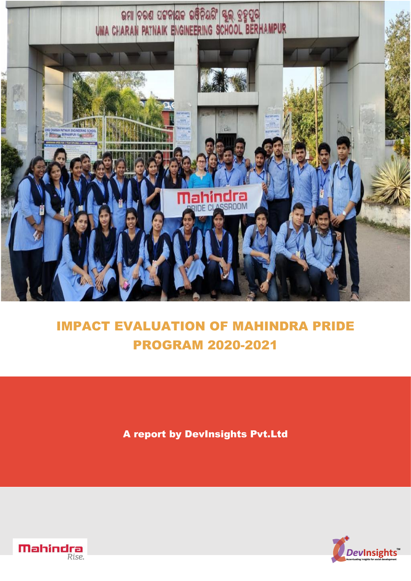

# IMPACT EVALUATION OF MAHINDRA PRIDE PROGRAM 2020-2021

A report by DevInsights Pvt.Ltd



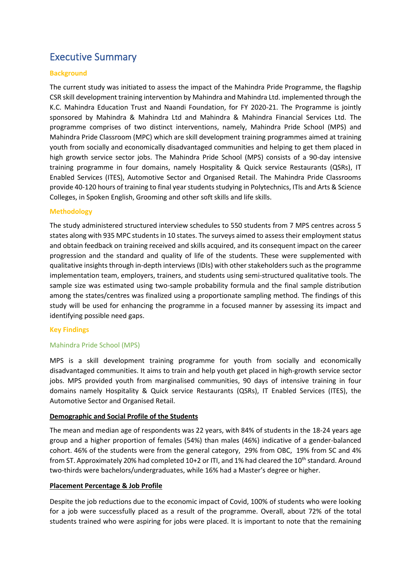# Executive Summary

# **Background**

The current study was initiated to assess the impact of the Mahindra Pride Programme, the flagship CSR skill development training intervention by Mahindra and Mahindra Ltd. implemented through the K.C. Mahindra Education Trust and Naandi Foundation, for FY 2020-21. The Programme is jointly sponsored by Mahindra & Mahindra Ltd and Mahindra & Mahindra Financial Services Ltd. The programme comprises of two distinct interventions, namely, Mahindra Pride School (MPS) and Mahindra Pride Classroom (MPC) which are skill development training programmes aimed at training youth from socially and economically disadvantaged communities and helping to get them placed in high growth service sector jobs. The Mahindra Pride School (MPS) consists of a 90-day intensive training programme in four domains, namely Hospitality & Quick service Restaurants (QSRs), IT Enabled Services (ITES), Automotive Sector and Organised Retail. The Mahindra Pride Classrooms provide 40-120 hours of training to final year students studying in Polytechnics, ITIs and Arts & Science Colleges, in Spoken English, Grooming and other soft skills and life skills.

# **Methodology**

The study administered structured interview schedules to 550 students from 7 MPS centres across 5 states along with 935 MPC students in 10 states. The surveys aimed to assess their employment status and obtain feedback on training received and skills acquired, and its consequent impact on the career progression and the standard and quality of life of the students. These were supplemented with qualitative insights through in-depth interviews (IDIs) with other stakeholders such as the programme implementation team, employers, trainers, and students using semi-structured qualitative tools. The sample size was estimated using two-sample probability formula and the final sample distribution among the states/centres was finalized using a proportionate sampling method. The findings of this study will be used for enhancing the programme in a focused manner by assessing its impact and identifying possible need gaps.

# **Key Findings**

# Mahindra Pride School (MPS)

MPS is a skill development training programme for youth from socially and economically disadvantaged communities. It aims to train and help youth get placed in high-growth service sector jobs. MPS provided youth from marginalised communities, 90 days of intensive training in four domains namely Hospitality & Quick service Restaurants (QSRs), IT Enabled Services (ITES), the Automotive Sector and Organised Retail.

# **Demographic and Social Profile of the Students**

The mean and median age of respondents was 22 years, with 84% of students in the 18-24 years age group and a higher proportion of females (54%) than males (46%) indicative of a gender-balanced cohort. 46% of the students were from the general category, 29% from OBC, 19% from SC and 4% from ST. Approximately 20% had completed 10+2 or ITI, and 1% had cleared the 10<sup>th</sup> standard. Around two-thirds were bachelors/undergraduates, while 16% had a Master's degree or higher.

# **Placement Percentage & Job Profile**

Despite the job reductions due to the economic impact of Covid, 100% of students who were looking for a job were successfully placed as a result of the programme. Overall, about 72% of the total students trained who were aspiring for jobs were placed. It is important to note that the remaining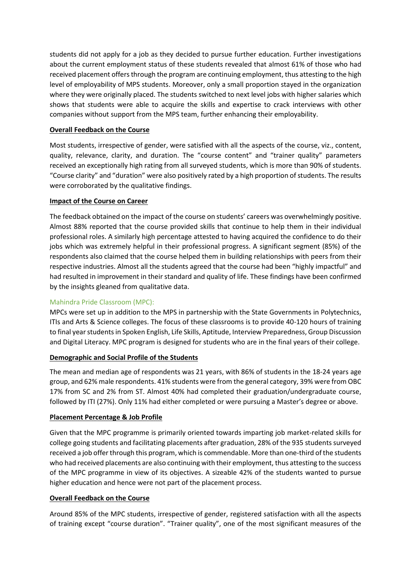students did not apply for a job as they decided to pursue further education. Further investigations about the current employment status of these students revealed that almost 61% of those who had received placement offers through the program are continuing employment, thus attesting to the high level of employability of MPS students. Moreover, only a small proportion stayed in the organization where they were originally placed. The students switched to next level jobs with higher salaries which shows that students were able to acquire the skills and expertise to crack interviews with other companies without support from the MPS team, further enhancing their employability.

# **Overall Feedback on the Course**

Most students, irrespective of gender, were satisfied with all the aspects of the course, viz., content, quality, relevance, clarity, and duration. The "course content" and "trainer quality" parameters received an exceptionally high rating from all surveyed students, which is more than 90% of students. "Course clarity" and "duration" were also positively rated by a high proportion of students. The results were corroborated by the qualitative findings.

# **Impact of the Course on Career**

The feedback obtained on the impact of the course on students' careers was overwhelmingly positive. Almost 88% reported that the course provided skills that continue to help them in their individual professional roles. A similarly high percentage attested to having acquired the confidence to do their jobs which was extremely helpful in their professional progress. A significant segment (85%) of the respondents also claimed that the course helped them in building relationships with peers from their respective industries. Almost all the students agreed that the course had been "highly impactful" and had resulted in improvement in their standard and quality of life. These findings have been confirmed by the insights gleaned from qualitative data.

# Mahindra Pride Classroom (MPC):

MPCs were set up in addition to the MPS in partnership with the State Governments in Polytechnics, ITIs and Arts & Science colleges. The focus of these classrooms is to provide 40-120 hours of training to final year students in Spoken English, Life Skills, Aptitude, Interview Preparedness, Group Discussion and Digital Literacy. MPC program is designed for students who are in the final years of their college.

# **Demographic and Social Profile of the Students**

The mean and median age of respondents was 21 years, with 86% of students in the 18-24 years age group, and 62% male respondents. 41% students were from the general category, 39% were from OBC 17% from SC and 2% from ST. Almost 40% had completed their graduation/undergraduate course, followed by ITI (27%). Only 11% had either completed or were pursuing a Master's degree or above.

# **Placement Percentage & Job Profile**

Given that the MPC programme is primarily oriented towards imparting job market-related skills for college going students and facilitating placements after graduation, 28% of the 935 students surveyed received a job offer through this program, which is commendable. More than one-third of the students who had received placements are also continuing with their employment, thus attesting to the success of the MPC programme in view of its objectives. A sizeable 42% of the students wanted to pursue higher education and hence were not part of the placement process.

# **Overall Feedback on the Course**

Around 85% of the MPC students, irrespective of gender, registered satisfaction with all the aspects of training except "course duration". "Trainer quality", one of the most significant measures of the